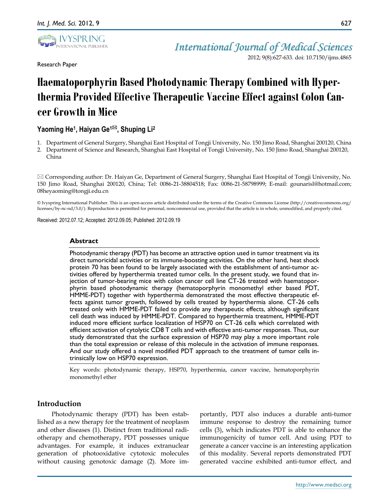

Research Paper

2012; 9(8):627-633. doi: 10.7150/ijms.4865

# **Haematoporphyrin Based Photodynamic Therapy Combined with Hyperthermia Provided Effective Therapeutic Vaccine Effect against Colon Cancer Growth in Mice**

## **Yaoming He<sup>1</sup> , Haiyan Ge1, Shuping Li<sup>2</sup>**

- 1. Department of General Surgery, Shanghai East Hospital of Tongji University, No. 150 Jimo Road, Shanghai 200120, China
- 2. Department of Science and Research, Shanghai East Hospital of Tongji University, No. 150 Jimo Road, Shanghai 200120, China

 $\boxtimes$  Corresponding author: Dr. Haiyan Ge, Department of General Surgery, Shanghai East Hospital of Tongji University, No. 150 Jimo Road, Shanghai 200120, China; Tel: 0086-21-38804518; Fax: 0086-21-58798999; E-mail: gounarisl@hotmail.com; 08heyaoming@tongji.edu.cn

© Ivyspring International Publisher. This is an open-access article distributed under the terms of the Creative Commons License (http://creativecommons.org/ licenses/by-nc-nd/3.0/). Reproduction is permitted for personal, noncommercial use, provided that the article is in whole, unmodified, and properly cited.

Received: 2012.07.12; Accepted: 2012.09.05; Published: 2012.09.19

## **Abstract**

Photodynamic therapy (PDT) has become an attractive option used in tumor treatment via its direct tumoricidal activities or its immune-boosting activities. On the other hand, heat shock protein 70 has been found to be largely associated with the establishment of anti-tumor activities offered by hyperthermia treated tumor cells. In the present study, we found that injection of tumor-bearing mice with colon cancer cell line CT-26 treated with haematoporphyrin based photodynamic therapy (hematoporphyrin monomethyl ether based PDT, HMME-PDT) together with hyperthermia demonstrated the most effective therapeutic effects against tumor growth, followed by cells treated by hyperthermia alone. CT-26 cells treated only with HMME-PDT failed to provide any therapeutic effects, although significant cell death was induced by HMME-PDT. Compared to hyperthermia treatment, HMME-PDT induced more efficient surface localization of HSP70 on CT-26 cells which correlated with efficient activation of cytolytic CD8 T cells and with effective anti-tumor responses. Thus, our study demonstrated that the surface expression of HSP70 may play a more important role than the total expression or release of this molecule in the activation of immune responses. And our study offered a novel modified PDT approach to the treatment of tumor cells intrinsically low on HSP70 expression.

Key words: photodynamic therapy, HSP70, hyperthermia, cancer vaccine, hematoporphyrin monomethyl ether

## **Introduction**

Photodynamic therapy (PDT) has been established as a new therapy for the treatment of neoplasm and other diseases (1). Distinct from traditional radiotherapy and chemotherapy, PDT possesses unique advantages. For example, it induces extranuclear generation of photooxidative cytotoxic molecules without causing genotoxic damage (2). More importantly, PDT also induces a durable anti-tumor immune response to destroy the remaining tumor cells (3), which indicates PDT is able to enhance the immunogenicity of tumor cell. And using PDT to generate a cancer vaccine is an interesting application of this modality. Several reports demonstrated PDT generated vaccine exhibited anti-tumor effect, and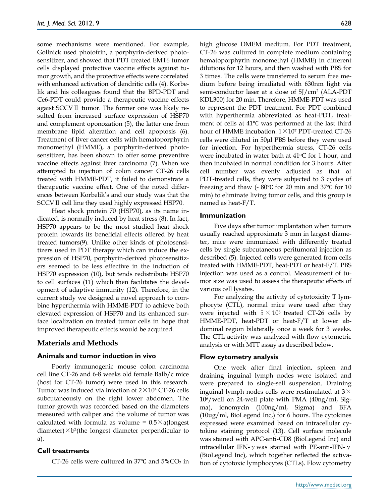some mechanisms were mentioned. For example, Gollnick used photofrin, a porphyrin-derived photosensitizer, and showed that PDT treated EMT6 tumor cells displayed protective vaccine effects against tumor growth, and the protective effects were correlated with enhanced activation of dendritic cells (4). Korbelik and his colleagues found that the BPD-PDT and Ce6-PDT could provide a therapeutic vaccine effects agaist SCCVⅡ tumor. The former one was likely resulted from increased surface expression of HSP70 and complement oponozation (5), the latter one from membrane lipid alteration and cell apoptosis (6). Treatment of liver cancer cells with hematoporphyrin monomethyl (HMME), a porphyrin-derived photosensitizer, has been shown to offer some preventive vaccine effects against liver carcinoma (7). When we attempted to injection of colon cancer CT-26 cells treated with HMME-PDT, it failed to demonstrate a therapeutic vaccine effect. One of the noted differences between Korbelik's and our study was that the SCCV II cell line they used highly expressed HSP70.

Heat shock protein 70 (HSP70), as its name indicated, is normally induced by heat stress (8). In fact, HSP70 appears to be the most studied heat shock protein towards its beneficial effects offered by heat treated tumors(9). Unlike other kinds of photosensitizers used in PDT therapy which can induce the expression of HSP70, porphyrin-derived photosensitizers seemed to be less effective in the induction of HSP70 expression (10), but tends redistribute HSP70 to cell surfaces (11) which then facilitates the development of adaptive immunity (12). Therefore, in the current study we designed a novel approach to combine hyperthermia with HMME-PDT to achieve both elevated expression of HSP70 and its enhanced surface localization on treated tumor cells in hope that improved therapeutic effects would be acquired.

## **Materials and Methods**

#### **Animals and tumor induction in vivo**

Poorly immunogenic mouse colon carcinoma cell line CT-26 and 6-8 weeks old female Balb/c mice (host for CT-26 tumor) were used in this research. Tumor was induced via injection of  $2 \times 10^5$  CT-26 cells subcutaneously on the right lower abdomen. The tumor growth was recorded based on the diameters measured with caliper and the volume of tumor was calculated with formula as volume =  $0.5 \times a$ (longest diameter) $\times$ b<sup>2</sup>(the longest diameter perpendicular to a).

#### **Cell treatments**

CT-26 cells were cultured in  $37^{\circ}$ C and  $5\%$ CO<sub>2</sub> in

high glucose DMEM medium. For PDT treatment, CT-26 was cultured in complete medium containing hematoporphyrin monomethyl (HMME) in different dilutions for 12 hours, and then washed with PBS for 3 times. The cells were transferred to serum free medium before being irradiated with 630nm light via semi-conductor laser at a dose of 5J/cm<sup>2</sup> (ALA-PDT KDL300) for 20 min. Therefore, HMME-PDT was used to represent the PDT treatment. For PDT combined with hyperthermia abbreviated as heat-PDT, treatment of cells at 41℃ was performed at the last third hour of HMME incubation.  $1 \times 10^7$  PDT-treated CT-26 cells were diluted in 50µl PBS before they were used for injection. For hyperthermia stress, CT-26 cells were incubated in water bath at 41<sup>o</sup>C for 1 hour, and then incubated in normal condition for 3 hours. After cell number was evenly adjusted as that of PDT-treated cells, they were subjected to 3 cycles of freezing and thaw (- 80℃ for 20 min and 37℃ for 10 min) to eliminate living tumor cells, and this group is named as heat-F/T.

#### **Immunization**

Five days after tumor implantation when tumors usually reached approximate 3 mm in largest diameter, mice were immunized with differently treated cells by single subcutaneous peritumoral injection as described (5). Injected cells were generated from cells treated with HMME-PDT, heat-PDT or heat-F/T. PBS injection was used as a control. Measurement of tumor size was used to assess the therapeutic effects of various cell lysates.

For analyzing the activity of cytotoxicity T lymphocyte (CTL), normal mice were used after they were injected with  $5 \times 10^5$  treated CT-26 cells by HMME-PDT, heat-PDT or heat-F/T at lower abdominal region bilaterally once a week for 3 weeks. The CTL activity was analyzed with flow cytometric analysis or with MTT assay as described below.

#### **Flow cytometry analysis**

One week after final injection, spleen and draining inguinal lymph nodes were isolated and were prepared to single-sell suspension. Draining inguinal lymph nodes cells were restimulated at  $3\times$ 106/well on 24-well plate with PMA (40ng/ml, Sigma), ionomycin (100ng/ml, Sigma) and BFA (10ug/ml, BioLegend Inc,) for 6 hours. The cytokines expressed were examined based on intracellular cytokine staining protocol (13). Cell surface molecule was stained with APC-anti-CD8 (BioLegend Inc) and intracellular IFN- $γ$  was stained with PE-anti-IFN- $γ$ (BioLegend Inc), which together reflected the activation of cytotoxic lymphocytes (CTLs). Flow cytometry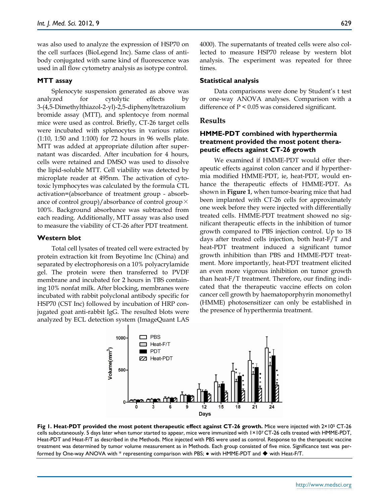was also used to analyze the expression of HSP70 on the cell surfaces (BioLegend Inc). Same class of antibody conjugated with same kind of fluorescence was used in all flow cytometry analysis as isotype control.

#### **MTT assay**

Splenocyte suspension generated as above was analyzed for cytolytic effects by 3-(4,5-Dimethylthiazol-2-yl)-2,5-diphenyltetrazolium bromide assay (MTT), and splentocye from normal mice were used as control. Briefly, CT-26 target cells were incubated with splenocytes in various ratios (1:10, 1:50 and 1:100) for 72 hours in 96 wells plate. MTT was added at appropriate dilution after supernatant was discarded. After incubation for 4 hours, cells were retained and DMSO was used to dissolve the lipid-soluble MTT. Cell viability was detected by microplate reader at 495nm. The activation of cytotoxic lymphocytes was calculated by the formula CTL activation=(absorbance of treatment group - absorbance of control group)/absorbance of control group  $\times$ 100%. Background absorbance was subtracted from each reading. Additionally, MTT assay was also used to measure the viability of CT-26 after PDT treatment.

## **Western blot**

Total cell lysates of treated cell were extracted by protein extraction kit from Beyotime Inc (China) and separated by electrophoresis on a 10% polyacrylamide gel. The protein were then transferred to PVDF membrane and incubated for 2 hours in TBS containing 10% nonfat milk. After blocking, membranes were incubated with rabbit polyclonal antibody specific for HSP70 (CST Inc) followed by incubation of HRP conjugated goat anti-rabbit IgG. The resulted blots were analyzed by ECL detection system (ImageQuant LAS 4000). The supernatants of treated cells were also collected to measure HSP70 release by western blot analysis. The experiment was repeated for three times.

#### **Statistical analysis**

Data comparisons were done by Student's t test or one-way ANOVA analyses. Comparison with a difference of P < 0.05 was considered significant.

#### **Results**

## **HMME-PDT combined with hyperthermia treatment provided the most potent therapeutic effects against CT-26 growth**

We examined if HMME-PDT would offer therapeutic effects against colon cancer and if hyperthermia modified HMME-PDT, ie, heat-PDT, would enhance the therapeutic effects of HMME-PDT. As shown in **Figure 1**, when tumor-bearing mice that had been implanted with CT-26 cells for approximately one week before they were injected with differentially treated cells. HMME-PDT treatment showed no significant therapeutic effects in the inhibition of tumor growth compared to PBS injection control. Up to 18 days after treated cells injection, both heat-F/T and heat-PDT treatment induced a significant tumor growth inhibition than PBS and HMME-PDT treatment. More importantly, heat-PDT treatment elicited an even more vigorous inhibition on tumor growth than heat-F/T treatment. Therefore, our finding indicated that the therapeutic vaccine effects on colon cancer cell growth by haematoporphyrin monomethyl (HMME) photosensitizer can only be established in the presence of hyperthermia treatment.



**Fig 1. Heat-PDT provided the most potent therapeutic effect against CT-26 growth.** Mice were injected with 2×10<sup>5</sup> CT-26 cells subcutaneously. 5 days later when tumor started to appear, mice were immunized with 1×107 CT-26 cells treated with HMME-PDT, Heat-PDT and Heat-F/T as described in the Methods. Mice injected with PBS were used as control. Response to the therapeutic vaccine treatment was determined by tumor volume measurement as in Methods. Each group consisted of five mice. Significance test was performed by One-way ANOVA with \* representing comparison with PBS; ● with HMME-PDT and ◆ with Heat-F/T.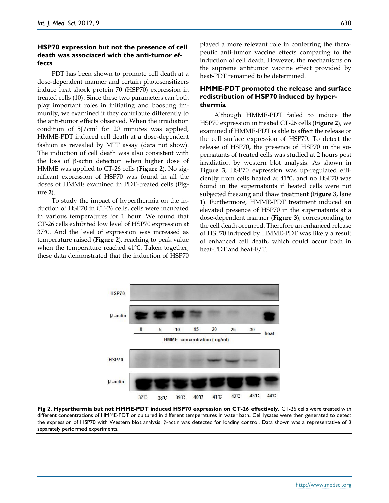## **HSP70 expression but not the presence of cell death was associated with the anti-tumor effects**

PDT has been shown to promote cell death at a dose-dependent manner and certain photosensitizers induce heat shock protein 70 (HSP70) expression in treated cells (10). Since these two parameters can both play important roles in initiating and boosting immunity, we examined if they contribute differently to the anti-tumor effects observed. When the irradiation condition of 5J/cm<sup>2</sup> for 20 minutes was applied, HMME-PDT induced cell death at a dose-dependent fashion as revealed by MTT assay (data not show). The induction of cell death was also consistent with the loss of  $\beta$ -actin detection when higher dose of HMME was applied to CT-26 cells (**Figure 2**). No significant expression of HSP70 was found in all the doses of HMME examined in PDT-treated cells (**Figure 2**).

To study the impact of hyperthermia on the induction of HSP70 in CT-26 cells, cells were incubated in various temperatures for 1 hour. We found that CT-26 cells exhibited low level of HSP70 expression at 37℃. And the level of expression was increased as temperature raised (**Figure 2**), reaching to peak value when the temperature reached 41℃. Taken together, these data demonstrated that the induction of HSP70

played a more relevant role in conferring the therapeutic anti-tumor vaccine effects comparing to the induction of cell death. However, the mechanisms on the supreme antitumor vaccine effect provided by heat-PDT remained to be determined.

## **HMME-PDT promoted the release and surface redistribution of HSP70 induced by hyperthermia**

Although HMME-PDT failed to induce the HSP70 expression in treated CT-26 cells (**Figure 2**), we examined if HMME-PDT is able to affect the release or the cell surface expression of HSP70. To detect the release of HSP70, the presence of HSP70 in the supernatants of treated cells was studied at 2 hours post irradiation by western blot analysis. As shown in **Figure 3**, HSP70 expression was up-regulated efficiently from cells heated at 41℃, and no HSP70 was found in the supernatants if heated cells were not subjected freezing and thaw treatment (**Figure 3,** lane 1). Furthermore, HMME-PDT treatment induced an elevated presence of HSP70 in the supernatants at a dose-dependent manner (**Figure 3**), corresponding to the cell death occurred. Therefore an enhanced release of HSP70 induced by HMME-PDT was likely a result of enhanced cell death, which could occur both in heat-PDT and heat-F/T.



**Fig 2. Hyperthermia but not HMME-PDT induced HSP70 expression on CT-26 effectively.** CT-26 cells were treated with different concentrations of HMME-PDT or cultured in different temperatures in water bath. Cell lysates were then generated to detect the expression of HSP70 with Western blot analysis. β-actin was detected for loading control. Data shown was a representative of 3 separately performed experiments.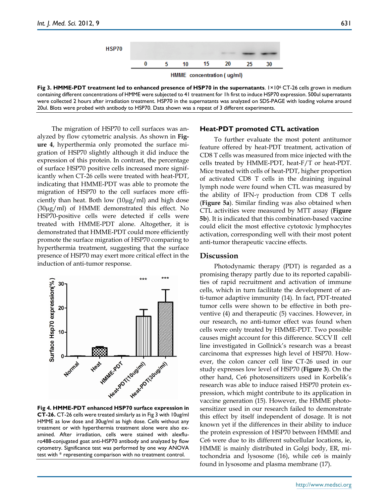

**Fig 3. HMME-PDT treatment led to enhanced presence of HSP70 in the supernatants**. 1×10<sup>6</sup> CT-26 cells grown in medium containing different concentrations of HMME were subjected to 41 treatment for 1h first to induce HSP70 expression. 500ul supernatants were collected 2 hours after irradiation treatment. HSP70 in the supernatants was analyzed on SDS-PAGE with loading volume around 20ul. Blots were probed with antibody to HSP70. Data shown was a repeat of 3 different experiments.

The migration of HSP70 to cell surfaces was analyzed by flow cytometric analysis. As shown in **Figure 4**, hyperthermia only promoted the surface migration of HSP70 slightly although it did induce the expression of this protein. In contrast, the percentage of surface HSP70 positive cells increased more significantly when CT-26 cells were treated with heat-PDT, indicating that HMME-PDT was able to promote the migration of HSP70 to the cell surfaces more efficiently than heat. Both low  $(10\mu g/ml)$  and high dose (30g/ml) of HMME demonstrated this effect. No HSP70-positive cells were detected if cells were treated with HMME-PDT alone. Altogether, it is demonstrated that HMME-PDT could more efficiently promote the surface migration of HSP70 comparing to hyperthermia treatment, suggesting that the surface presence of HSP70 may exert more critical effect in the induction of anti-tumor response.



**Fig 4. HMME-PDT enhanced HSP70 surface expression in CT-26.** CT-26 cells were treated similarly as in Fig 3 with 10ug/ml HMME as low dose and 30ug/ml as high dose. Cells without any treatment or with hyperthermia treatment alone were also examined. After irradiation, cells were stained with alexfluro488-conjugated goat anti-HSP70 antibody and analyzed by flow cytometry. Significance test was performed by one way ANOVA test with \* representing comparison with no treatment control.

#### **Heat-PDT promoted CTL activation**

To further evaluate the most potent antitumor feature offered by heat-PDT treatment, activation of CD8 T cells was measured from mice injected with the cells treated by HMME-PDT, heat-F/T or heat-PDT. Mice treated with cells of heat-PDT, higher proportion of activated CD8 T cells in the draining inguinal lymph node were found when CTL was measured by the ability of IFN- $\gamma$  production from CD8 T cells (**Figure 5a**). Similar finding was also obtained when CTL activities were measured by MTT assay (**Figure 5b**). It is indicated that this combination-based vaccine could elicit the most effective cytotoxic lymphocytes activation, corresponding well with their most potent anti-tumor therapeutic vaccine effects.

## **Discussion**

Photodynamic therapy (PDT) is regarded as a promising therapy partly due to its reported capabilities of rapid recruitment and activation of immune cells, which in turn facilitate the development of anti-tumor adaptive immunity (14). In fact, PDT-treated tumor cells were shown to be effective in both preventive (4) and therapeutic (5) vaccines. However, in our research, no anti-tumor effect was found when cells were only treated by HMME-PDT. Two possible causes might account for this difference. SCCVⅡ cell line investigated in Gollnick's research was a breast carcinoma that expresses high level of HSP70. However, the colon cancer cell line CT-26 used in our study expresses low level of HSP70 (**Figure 3**). On the other hand, Ce6 photosensitizers used in Korbelik's research was able to induce raised HSP70 protein expression, which might contribute to its application in vaccine generation (15). However, the HMME photosensitizer used in our research failed to demonstrate this effect by itself independent of dosage. It is not known yet if the differences in their ability to induce the protein expression of HSP70 between HMME and Ce6 were due to its different subcellular locations, ie, HMME is mainly distributed in Golgi body, ER, mitochondria and lysosome (16), while ce6 is mainly found in lysosome and plasma membrane (17).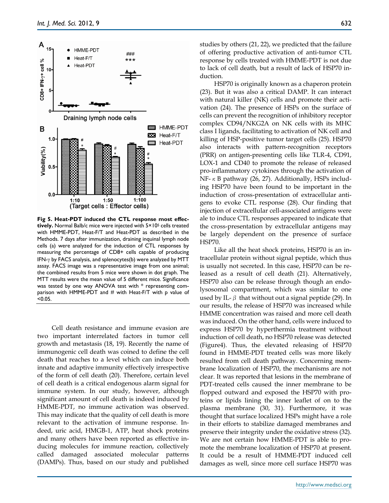

**Fig 5. Heat-PDT induced the CTL response most effectively.** Normal Balb/c mice were injected with 5×10<sup>5</sup> cells treated with HMME-PDT, Heat-F/T and Heat-PDT as described in the Methods. 7 days after immunization, draining inquinal lymph node cells (a) were analyzed for the induction of CTL responses by measuring the percentage of CD8+ cells capable of producing IFN- $\gamma$  by FACS analysis, and splenocytes(b) were analyzed by MTT assay. FACS image was a representative image from one animal; the combined results from 5 mice were shown in dot graph. The MTT results were the mean value of 5 different mice. Significance was tested by one way ANOVA test with \* representing comparison with HMME-PDT and  $#$  with Heat-F/T with p value of  $< 0.05$ .

Cell death resistance and immune evasion are two important interrelated factors in tumor cell growth and metastasis (18, 19). Recently the name of immunogenic cell death was coined to define the cell death that reaches to a level which can induce both innate and adaptive immunity effectively irrespective of the form of cell death (20). Therefore, certain level of cell death is a critical endogenous alarm signal for immune system. In our study, however, although significant amount of cell death is indeed induced by HMME-PDT, no immune activation was observed. This may indicate that the quality of cell death is more relevant to the activation of immune response. Indeed, uric acid, HMGB-1, ATP, heat shock proteins and many others have been reported as effective inducing molecules for immune reaction, collectively called damaged associated molecular patterns (DAMPs). Thus, based on our study and published

studies by others (21, 22), we predicted that the failure of offering productive activation of anti-tumor CTL response by cells treated with HMME-PDT is not due to lack of cell death, but a result of lack of HSP70 induction.

HSP70 is originally known as a chaperon protein (23). But it was also a critical DAMP. It can interact with natural killer (NK) cells and promote their activation (24). The presence of HSPs on the surface of cells can prevent the recognition of inhibitory receptor complex CD94/NKG2A on NK cells with its MHC class I ligands, facilitating to activation of NK cell and killing of HSP-positive tumor target cells (25). HSP70 also interacts with pattern-recognition receptors (PRR) on antigen-presenting cells like TLR-4, CD91, LOX-1 and CD40 to promote the release of released pro-inflammatory cytokines through the activation of NF-κB pathway (26, 27). Additionally, HSPs including HSP70 have been found to be important in the induction of cross-presentation of extracellular antigens to evoke CTL response (28). Our finding that injection of extracellular cell-associated antigens were ale to induce CTL responses appeared to indicate that the cross-presentation by extracellular antigens may be largely dependent on the presence of surface HSP70.

Like all the heat shock proteins, HSP70 is an intracellular protein without signal peptide, which thus is usually not secreted. In this case, HSP70 can be released as a result of cell death (21). Alternatively, HSP70 also can be release through though an endolysosomal compartment, which was similar to one used by IL- $\beta$  that without out a signal peptide (29). In our results, the release of HSP70 was increased while HMME concentration was raised and more cell death was induced. On the other hand, cells were induced to express HSP70 by hyperthermia treatment without induction of cell death, no HSP70 release was detected (Figure4). Thus, the elevated releasing of HSP70 found in HMME-PDT treated cells was more likely resulted from cell death pathway. Concerning membrane localization of HSP70, the mechanisms are not clear. It was reported that lesions in the membrane of PDT-treated cells caused the inner membrane to be flopped outward and exposed the HSP70 with proteins or lipids lining the inner leaflet of on to the plasma membrane (30, 31). Furthermore, it was thought that surface localized HSPs might have a role in their efforts to stabilize damaged membranes and preserve their integrity under the oxidative stress (32). We are not certain how HMME-PDT is able to promote the membrane localization of HSP70 at present. It could be a result of HMME-PDT induced cell damages as well, since more cell surface HSP70 was